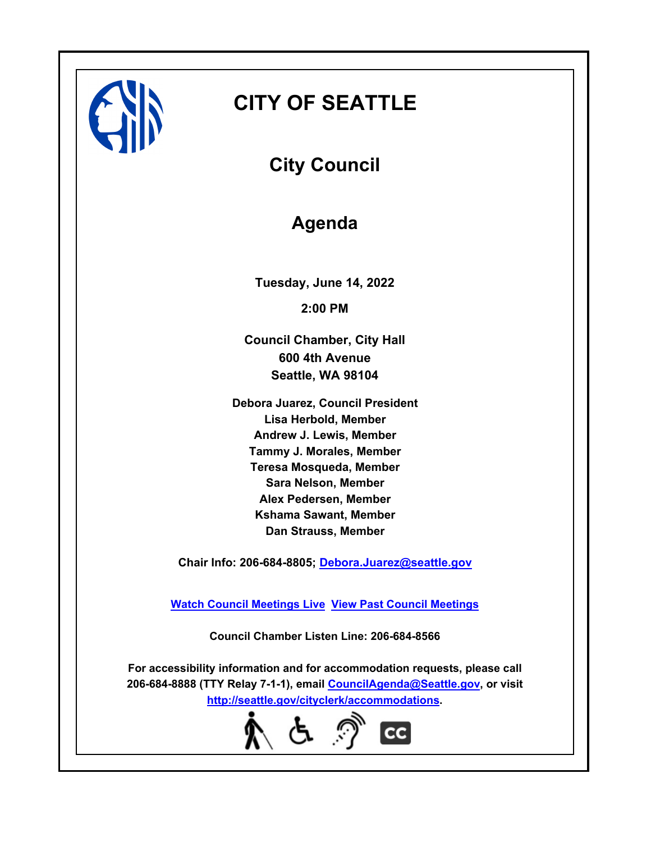

# **CITY OF SEATTLE**

**City Council**

# **Agenda**

**Tuesday, June 14, 2022 2:00 PM**

**Council Chamber, City Hall 600 4th Avenue Seattle, WA 98104**

**Debora Juarez, Council President Lisa Herbold, Member Andrew J. Lewis, Member Tammy J. Morales, Member Teresa Mosqueda, Member Sara Nelson, Member Alex Pedersen, Member Kshama Sawant, Member Dan Strauss, Member**

**Chair Info: 206-684-8805; [Debora.Juarez@seattle.gov](mailto:Debora.Juarez@seattle.gov)**

**[Watch Council Meetings Live](http://www.seattle.gov/council/councillive.htm) [View Past Council Meetings](http://www.seattlechannel.org/videos/browseVideos.asp?topic=council)**

**Council Chamber Listen Line: 206-684-8566**

**For accessibility information and for accommodation requests, please call 206-684-8888 (TTY Relay 7-1-1), email [CouncilAgenda@Seattle.gov](mailto: CouncilAgenda@Seattle.gov), or visit <http://seattle.gov/cityclerk/accommodations>.**

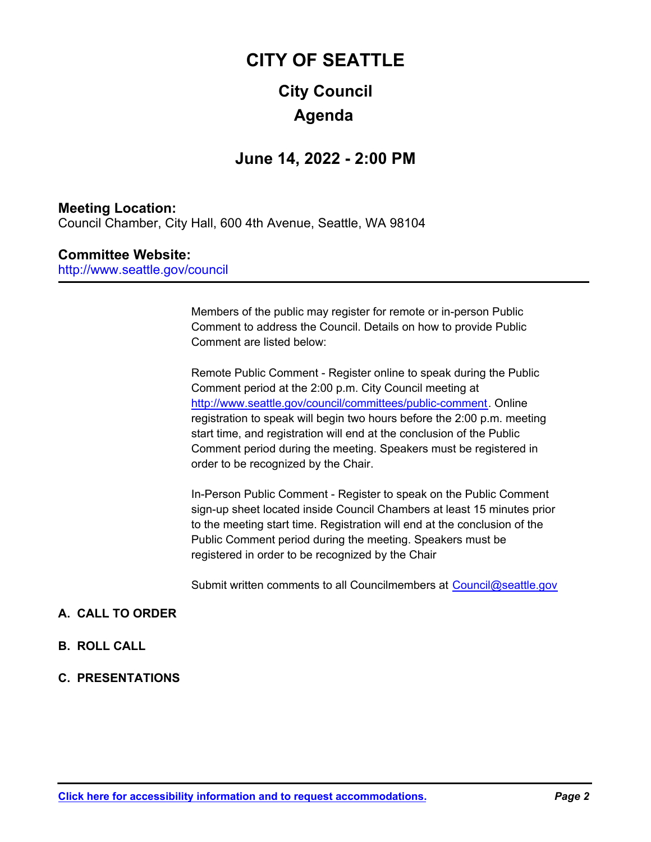# **City Council CITY OF SEATTLE Agenda**

## **June 14, 2022 - 2:00 PM**

## **Meeting Location:**

Council Chamber, City Hall, 600 4th Avenue, Seattle, WA 98104

#### **Committee Website:**

http://www.seattle.gov/council

Members of the public may register for remote or in-person Public Comment to address the Council. Details on how to provide Public Comment are listed below:

Remote Public Comment - Register online to speak during the Public Comment period at the 2:00 p.m. City Council meeting at http://www.seattle.gov/council/committees/public-comment. Online registration to speak will begin two hours before the 2:00 p.m. meeting start time, and registration will end at the conclusion of the Public Comment period during the meeting. Speakers must be registered in order to be recognized by the Chair.

In-Person Public Comment - Register to speak on the Public Comment sign-up sheet located inside Council Chambers at least 15 minutes prior to the meeting start time. Registration will end at the conclusion of the Public Comment period during the meeting. Speakers must be registered in order to be recognized by the Chair

Submit written comments to all Councilmembers at Council@seattle.gov

### **A. CALL TO ORDER**

- **B. ROLL CALL**
- **C. PRESENTATIONS**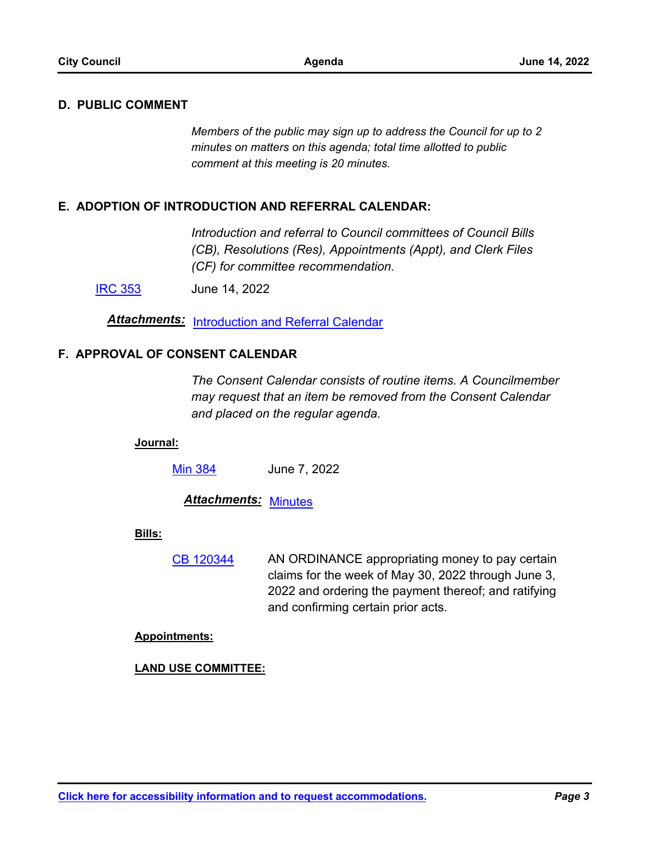#### **D. PUBLIC COMMENT**

*Members of the public may sign up to address the Council for up to 2 minutes on matters on this agenda; total time allotted to public comment at this meeting is 20 minutes.*

#### **E. ADOPTION OF INTRODUCTION AND REFERRAL CALENDAR:**

*Introduction and referral to Council committees of Council Bills (CB), Resolutions (Res), Appointments (Appt), and Clerk Files (CF) for committee recommendation.*

[IRC 353](http://seattle.legistar.com/gateway.aspx?m=l&id=/matter.aspx?key=13064) June 14, 2022

*Attachments:* [Introduction and Referral Calendar](http://seattle.legistar.com/gateway.aspx?M=F&ID=ada8f24f-9e58-4601-b1b8-011446f4e14e.pdf)

#### **F. APPROVAL OF CONSENT CALENDAR**

*The Consent Calendar consists of routine items. A Councilmember may request that an item be removed from the Consent Calendar and placed on the regular agenda.*

#### **Journal:**

[Min 384](http://seattle.legistar.com/gateway.aspx?m=l&id=/matter.aspx?key=13065) June 7, 2022

*Attachments:* [Minutes](http://seattle.legistar.com/gateway.aspx?M=F&ID=7acd7796-1c04-4026-a07c-49336fe7a315.pdf)

#### **Bills:**

AN ORDINANCE appropriating money to pay certain claims for the week of May 30, 2022 through June 3, 2022 and ordering the payment thereof; and ratifying and confirming certain prior acts. [CB 120344](http://seattle.legistar.com/gateway.aspx?m=l&id=/matter.aspx?key=13061)

#### **Appointments:**

#### **LAND USE COMMITTEE:**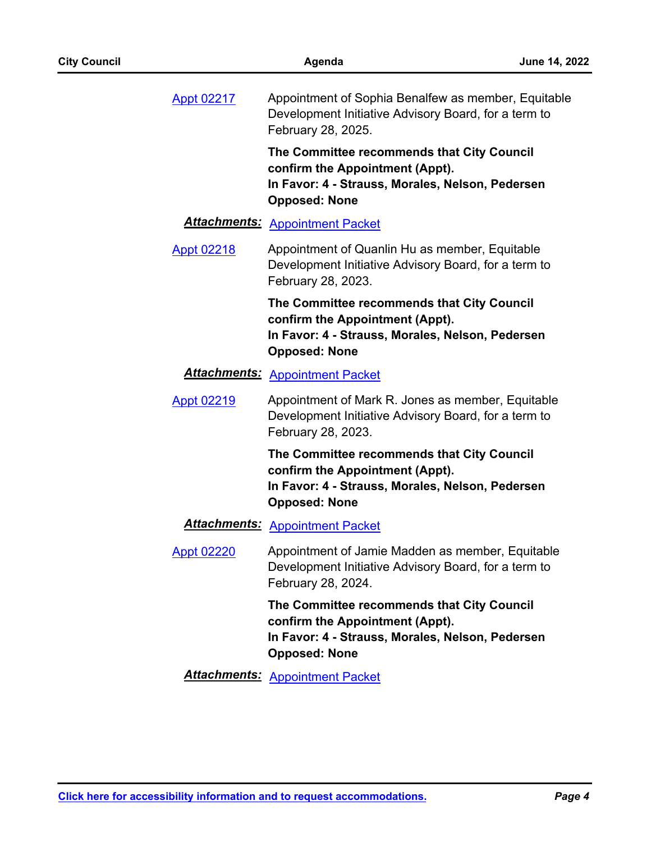| <b>Appt 02217</b> | Appointment of Sophia Benalfew as member, Equitable<br>Development Initiative Advisory Board, for a term to<br>February 28, 2025.                         |
|-------------------|-----------------------------------------------------------------------------------------------------------------------------------------------------------|
|                   | The Committee recommends that City Council<br>confirm the Appointment (Appt).<br>In Favor: 4 - Strauss, Morales, Nelson, Pedersen<br><b>Opposed: None</b> |
|                   | <b>Attachments: Appointment Packet</b>                                                                                                                    |
| <b>Appt 02218</b> | Appointment of Quanlin Hu as member, Equitable<br>Development Initiative Advisory Board, for a term to<br>February 28, 2023.                              |
|                   | The Committee recommends that City Council<br>confirm the Appointment (Appt).<br>In Favor: 4 - Strauss, Morales, Nelson, Pedersen<br><b>Opposed: None</b> |
|                   | <b>Attachments: Appointment Packet</b>                                                                                                                    |
| <b>Appt 02219</b> | Appointment of Mark R. Jones as member, Equitable<br>Development Initiative Advisory Board, for a term to<br>February 28, 2023.                           |
|                   | The Committee recommends that City Council<br>confirm the Appointment (Appt).<br>In Favor: 4 - Strauss, Morales, Nelson, Pedersen<br><b>Opposed: None</b> |
|                   | <b>Attachments: Appointment Packet</b>                                                                                                                    |
| <b>Appt 02220</b> | Appointment of Jamie Madden as member, Equitable<br>Development Initiative Advisory Board, for a term to<br>February 28, 2024.                            |
|                   | The Committee recommends that City Council<br>confirm the Appointment (Appt).<br>In Favor: 4 - Strauss, Morales, Nelson, Pedersen<br><b>Opposed: None</b> |
|                   | <b>Attachments: Appointment Packet</b>                                                                                                                    |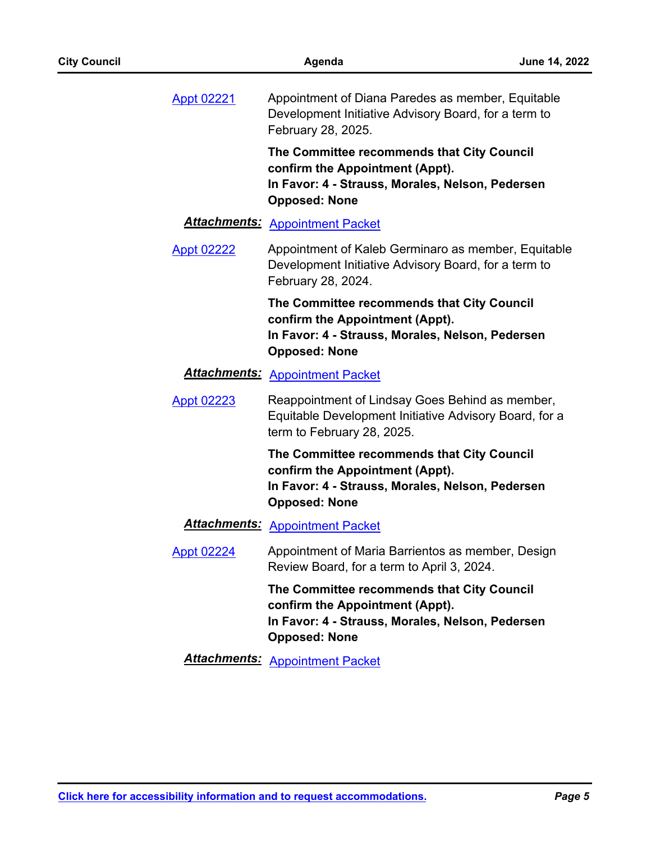| <b>Appt 02221</b> | Appointment of Diana Paredes as member, Equitable<br>Development Initiative Advisory Board, for a term to<br>February 28, 2025.                           |
|-------------------|-----------------------------------------------------------------------------------------------------------------------------------------------------------|
|                   | The Committee recommends that City Council<br>confirm the Appointment (Appt).<br>In Favor: 4 - Strauss, Morales, Nelson, Pedersen<br><b>Opposed: None</b> |
|                   | <b>Attachments: Appointment Packet</b>                                                                                                                    |
| <b>Appt 02222</b> | Appointment of Kaleb Germinaro as member, Equitable<br>Development Initiative Advisory Board, for a term to<br>February 28, 2024.                         |
|                   | The Committee recommends that City Council<br>confirm the Appointment (Appt).<br>In Favor: 4 - Strauss, Morales, Nelson, Pedersen<br><b>Opposed: None</b> |
|                   | <b>Attachments: Appointment Packet</b>                                                                                                                    |
| <b>Appt 02223</b> | Reappointment of Lindsay Goes Behind as member,<br>Equitable Development Initiative Advisory Board, for a<br>term to February 28, 2025.                   |
|                   | The Committee recommends that City Council<br>confirm the Appointment (Appt).<br>In Favor: 4 - Strauss, Morales, Nelson, Pedersen<br><b>Opposed: None</b> |
|                   | <b>Attachments: Appointment Packet</b>                                                                                                                    |
| <b>Appt 02224</b> | Appointment of Maria Barrientos as member, Design<br>Review Board, for a term to April 3, 2024.                                                           |
|                   | The Committee recommends that City Council<br>confirm the Appointment (Appt).<br>In Favor: 4 - Strauss, Morales, Nelson, Pedersen<br><b>Opposed: None</b> |
|                   | <b>Attachments: Appointment Packet</b>                                                                                                                    |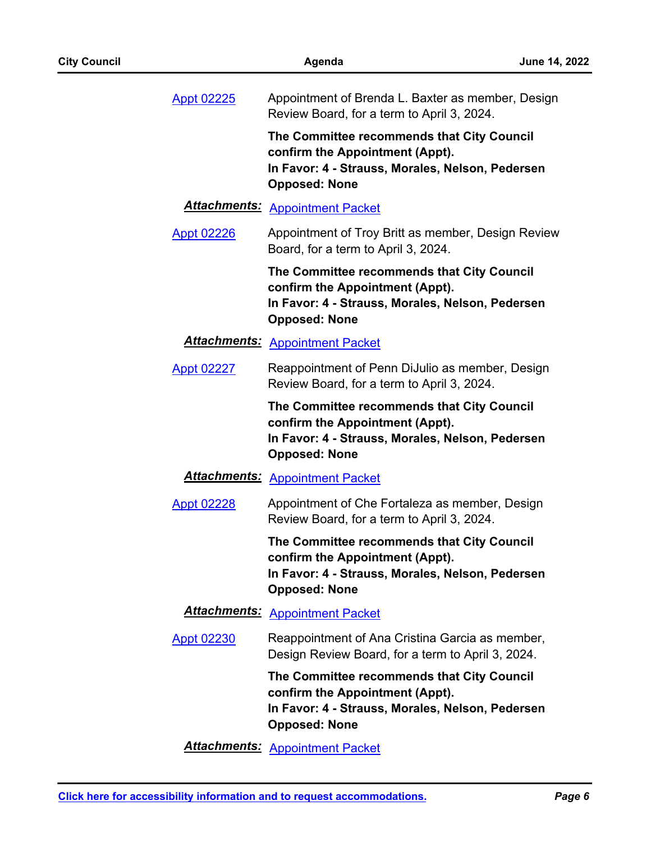| <b>Appt 02225</b>    | Appointment of Brenda L. Baxter as member, Design<br>Review Board, for a term to April 3, 2024.                                                           |
|----------------------|-----------------------------------------------------------------------------------------------------------------------------------------------------------|
|                      | The Committee recommends that City Council<br>confirm the Appointment (Appt).<br>In Favor: 4 - Strauss, Morales, Nelson, Pedersen<br><b>Opposed: None</b> |
| <u> Attachments:</u> | <b>Appointment Packet</b>                                                                                                                                 |
| <b>Appt 02226</b>    | Appointment of Troy Britt as member, Design Review<br>Board, for a term to April 3, 2024.                                                                 |
|                      | The Committee recommends that City Council<br>confirm the Appointment (Appt).<br>In Favor: 4 - Strauss, Morales, Nelson, Pedersen<br><b>Opposed: None</b> |
| <b>Attachments:</b>  | <b>Appointment Packet</b>                                                                                                                                 |
| <b>Appt 02227</b>    | Reappointment of Penn DiJulio as member, Design<br>Review Board, for a term to April 3, 2024.                                                             |
|                      | The Committee recommends that City Council<br>confirm the Appointment (Appt).<br>In Favor: 4 - Strauss, Morales, Nelson, Pedersen<br><b>Opposed: None</b> |
|                      | <b>Attachments: Appointment Packet</b>                                                                                                                    |
| <b>Appt 02228</b>    | Appointment of Che Fortaleza as member, Design<br>Review Board, for a term to April 3, 2024.                                                              |
|                      | The Committee recommends that City Council<br>confirm the Appointment (Appt).<br>In Favor: 4 - Strauss, Morales, Nelson, Pedersen<br><b>Opposed: None</b> |
|                      | <b>Attachments: Appointment Packet</b>                                                                                                                    |
| <b>Appt 02230</b>    | Reappointment of Ana Cristina Garcia as member,<br>Design Review Board, for a term to April 3, 2024.                                                      |
|                      | The Committee recommends that City Council<br>confirm the Appointment (Appt).<br>In Favor: 4 - Strauss, Morales, Nelson, Pedersen<br><b>Opposed: None</b> |
|                      | <b>Attachments: Appointment Packet</b>                                                                                                                    |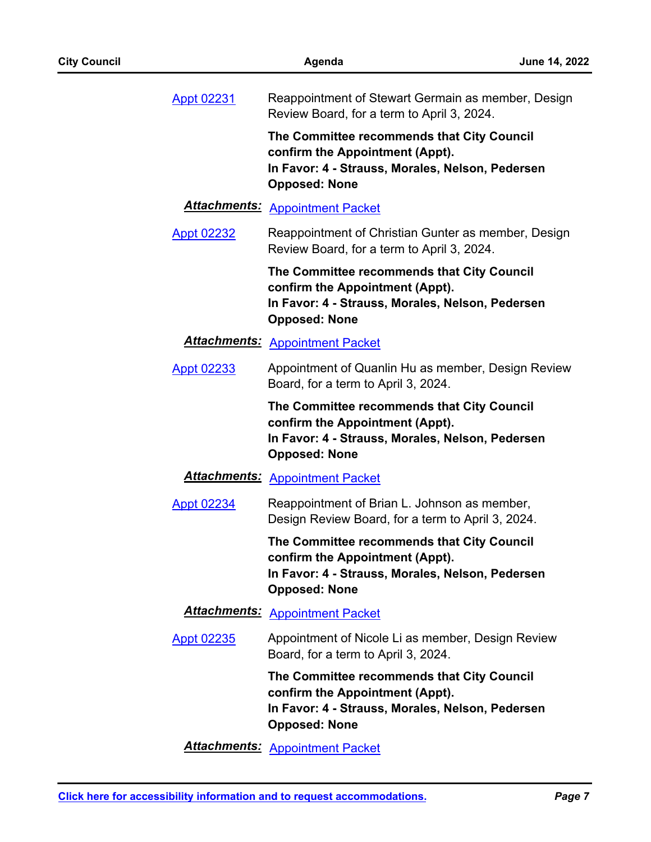| <b>City Council</b> |                      | Agenda                                                                                                                                                    | June 14, 2022 |
|---------------------|----------------------|-----------------------------------------------------------------------------------------------------------------------------------------------------------|---------------|
| <b>Appt 02231</b>   |                      | Reappointment of Stewart Germain as member, Design<br>Review Board, for a term to April 3, 2024.                                                          |               |
|                     |                      | The Committee recommends that City Council<br>confirm the Appointment (Appt).<br>In Favor: 4 - Strauss, Morales, Nelson, Pedersen<br><b>Opposed: None</b> |               |
|                     | <b>Attachments:</b>  | <b>Appointment Packet</b>                                                                                                                                 |               |
| <b>Appt 02232</b>   |                      | Reappointment of Christian Gunter as member, Design<br>Review Board, for a term to April 3, 2024.                                                         |               |
|                     |                      | The Committee recommends that City Council<br>confirm the Appointment (Appt).<br>In Favor: 4 - Strauss, Morales, Nelson, Pedersen<br><b>Opposed: None</b> |               |
|                     | <u> Attachments:</u> | <b>Appointment Packet</b>                                                                                                                                 |               |
| <b>Appt 02233</b>   |                      | Appointment of Quanlin Hu as member, Design Review<br>Board, for a term to April 3, 2024.                                                                 |               |
|                     |                      | The Committee recommends that City Council<br>confirm the Appointment (Appt).<br>In Favor: 4 - Strauss, Morales, Nelson, Pedersen<br><b>Opposed: None</b> |               |
|                     |                      | <b>Attachments: Appointment Packet</b>                                                                                                                    |               |
| <b>Appt 02234</b>   |                      | Reappointment of Brian L. Johnson as member,<br>Design Review Board, for a term to April 3, 2024.                                                         |               |
|                     |                      | The Committee recommends that City Council<br>confirm the Appointment (Appt).<br>In Favor: 4 - Strauss, Morales, Nelson, Pedersen<br><b>Opposed: None</b> |               |
|                     |                      | <b>Attachments: Appointment Packet</b>                                                                                                                    |               |
| <b>Appt 02235</b>   |                      | Appointment of Nicole Li as member, Design Review<br>Board, for a term to April 3, 2024.                                                                  |               |
|                     |                      | The Committee recommends that City Council<br>confirm the Appointment (Appt).<br>In Favor: 4 - Strauss, Morales, Nelson, Pedersen<br><b>Opposed: None</b> |               |
|                     |                      | <b>Attachments: Appointment Packet</b>                                                                                                                    |               |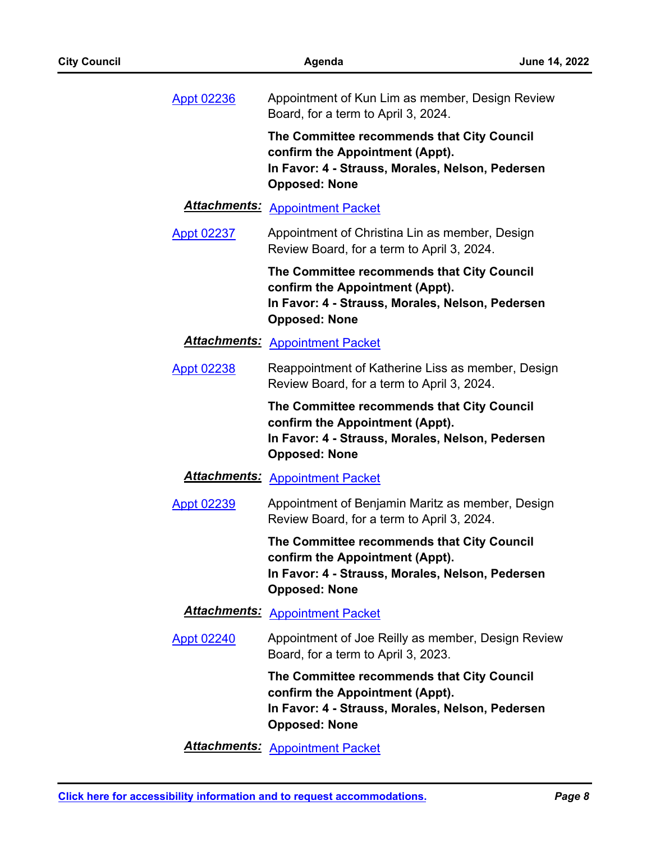| Appt 02236        | Appointment of Kun Lim as member, Design Review<br>Board, for a term to April 3, 2024.                                                                    |
|-------------------|-----------------------------------------------------------------------------------------------------------------------------------------------------------|
|                   | The Committee recommends that City Council<br>confirm the Appointment (Appt).<br>In Favor: 4 - Strauss, Morales, Nelson, Pedersen<br><b>Opposed: None</b> |
|                   | <b>Attachments: Appointment Packet</b>                                                                                                                    |
| Appt 02237        | Appointment of Christina Lin as member, Design<br>Review Board, for a term to April 3, 2024.                                                              |
|                   | The Committee recommends that City Council<br>confirm the Appointment (Appt).<br>In Favor: 4 - Strauss, Morales, Nelson, Pedersen<br><b>Opposed: None</b> |
|                   | <b>Attachments: Appointment Packet</b>                                                                                                                    |
| <b>Appt 02238</b> | Reappointment of Katherine Liss as member, Design<br>Review Board, for a term to April 3, 2024.                                                           |
|                   | The Committee recommends that City Council<br>confirm the Appointment (Appt).<br>In Favor: 4 - Strauss, Morales, Nelson, Pedersen<br><b>Opposed: None</b> |
|                   | <b>Attachments: Appointment Packet</b>                                                                                                                    |
| <b>Appt 02239</b> | Appointment of Benjamin Maritz as member, Design<br>Review Board, for a term to April 3, 2024.                                                            |
|                   | The Committee recommends that City Council<br>confirm the Appointment (Appt).<br>In Favor: 4 - Strauss, Morales, Nelson, Pedersen<br><b>Opposed: None</b> |
|                   | <b>Attachments: Appointment Packet</b>                                                                                                                    |
| <b>Appt 02240</b> | Appointment of Joe Reilly as member, Design Review<br>Board, for a term to April 3, 2023.                                                                 |
|                   | The Committee recommends that City Council<br>confirm the Appointment (Appt).<br>In Favor: 4 - Strauss, Morales, Nelson, Pedersen<br><b>Opposed: None</b> |
|                   | <b>Attachments: Appointment Packet</b>                                                                                                                    |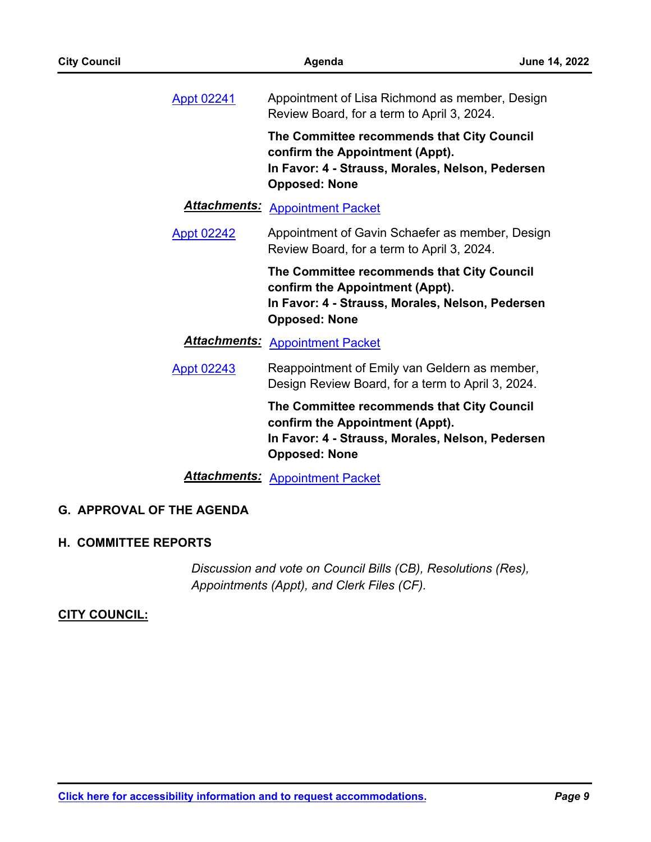| <b>City Council</b>              | Agenda                                                                                                                                                    | June 14, 2022 |
|----------------------------------|-----------------------------------------------------------------------------------------------------------------------------------------------------------|---------------|
| Appt 02241                       | Appointment of Lisa Richmond as member, Design<br>Review Board, for a term to April 3, 2024.                                                              |               |
|                                  | The Committee recommends that City Council<br>confirm the Appointment (Appt).<br>In Favor: 4 - Strauss, Morales, Nelson, Pedersen<br><b>Opposed: None</b> |               |
|                                  | <b>Attachments: Appointment Packet</b>                                                                                                                    |               |
| <b>Appt 02242</b>                | Appointment of Gavin Schaefer as member, Design<br>Review Board, for a term to April 3, 2024.                                                             |               |
|                                  | The Committee recommends that City Council<br>confirm the Appointment (Appt).<br>In Favor: 4 - Strauss, Morales, Nelson, Pedersen<br><b>Opposed: None</b> |               |
|                                  | Attachments: Appointment Packet                                                                                                                           |               |
| <b>Appt 02243</b>                | Reappointment of Emily van Geldern as member,<br>Design Review Board, for a term to April 3, 2024.                                                        |               |
|                                  | The Committee recommends that City Council<br>confirm the Appointment (Appt).<br>In Favor: 4 - Strauss, Morales, Nelson, Pedersen<br><b>Opposed: None</b> |               |
|                                  | <b>Attachments: Appointment Packet</b>                                                                                                                    |               |
| <b>G. APPROVAL OF THE AGENDA</b> |                                                                                                                                                           |               |

### **H. COMMITTEE REPORTS**

*Discussion and vote on Council Bills (CB), Resolutions (Res), Appointments (Appt), and Clerk Files (CF).*

### **CITY COUNCIL:**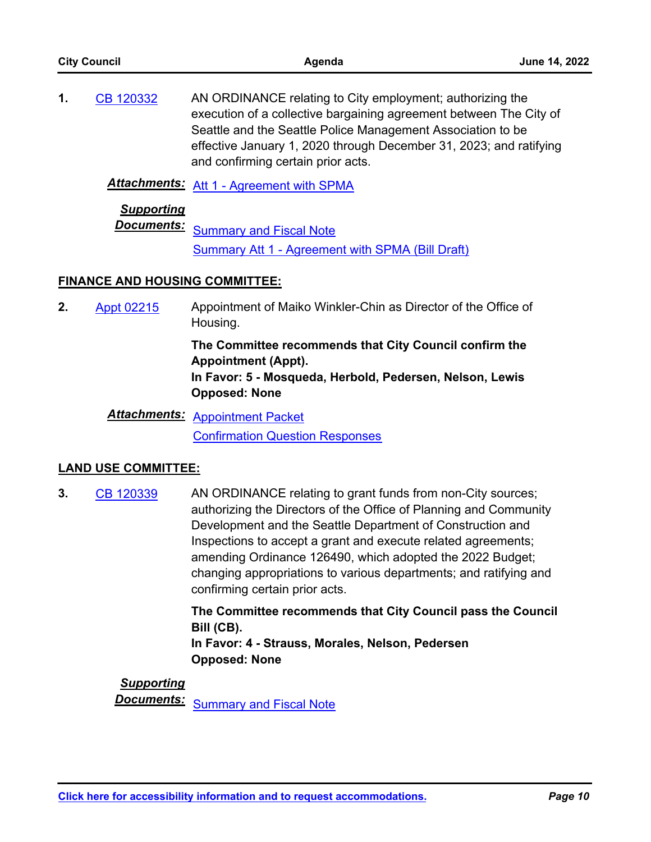| <b>City Council</b> |                                       | Agenda                                                                                                                                                                                                                                                                                                     | <b>June 14, 2022</b> |  |  |
|---------------------|---------------------------------------|------------------------------------------------------------------------------------------------------------------------------------------------------------------------------------------------------------------------------------------------------------------------------------------------------------|----------------------|--|--|
| 1.                  | CB 120332                             | AN ORDINANCE relating to City employment; authorizing the<br>execution of a collective bargaining agreement between The City of<br>Seattle and the Seattle Police Management Association to be<br>effective January 1, 2020 through December 31, 2023; and ratifying<br>and confirming certain prior acts. |                      |  |  |
|                     | Attachments:                          | Att 1 - Agreement with SPMA                                                                                                                                                                                                                                                                                |                      |  |  |
|                     | <b>Supporting</b><br>Documents:       | <b>Summary and Fiscal Note</b><br>Summary Att 1 - Agreement with SPMA (Bill Draft)                                                                                                                                                                                                                         |                      |  |  |
|                     | <b>FINANCE AND HOUSING COMMITTEE:</b> |                                                                                                                                                                                                                                                                                                            |                      |  |  |

Appointment of Maiko Winkler-Chin as Director of the Office of Housing. **2.** [Appt 02215](http://seattle.legistar.com/gateway.aspx?m=l&id=/matter.aspx?key=12963)

> **The Committee recommends that City Council confirm the Appointment (Appt). In Favor: 5 - Mosqueda, Herbold, Pedersen, Nelson, Lewis Opposed: None**

*Attachments:* [Appointment Packet](http://seattle.legistar.com/gateway.aspx?M=F&ID=3ed3d6b1-a8d9-46fc-9ad7-ce171dcdfa93.pdf) [Confirmation Question Responses](http://seattle.legistar.com/gateway.aspx?M=F&ID=ae080202-b3bb-444a-9322-2b4b0b7652d7.pdf)

## **LAND USE COMMITTEE:**

AN ORDINANCE relating to grant funds from non-City sources; authorizing the Directors of the Office of Planning and Community Development and the Seattle Department of Construction and Inspections to accept a grant and execute related agreements; amending Ordinance 126490, which adopted the 2022 Budget; changing appropriations to various departments; and ratifying and confirming certain prior acts. **3.** [CB 120339](http://seattle.legistar.com/gateway.aspx?m=l&id=/matter.aspx?key=12920)

> **The Committee recommends that City Council pass the Council Bill (CB). In Favor: 4 - Strauss, Morales, Nelson, Pedersen Opposed: None**

## *Supporting* **Documents:** [Summary and Fiscal Note](http://seattle.legistar.com/gateway.aspx?M=F&ID=995eec08-3756-4845-83ff-73287524b03b.docx)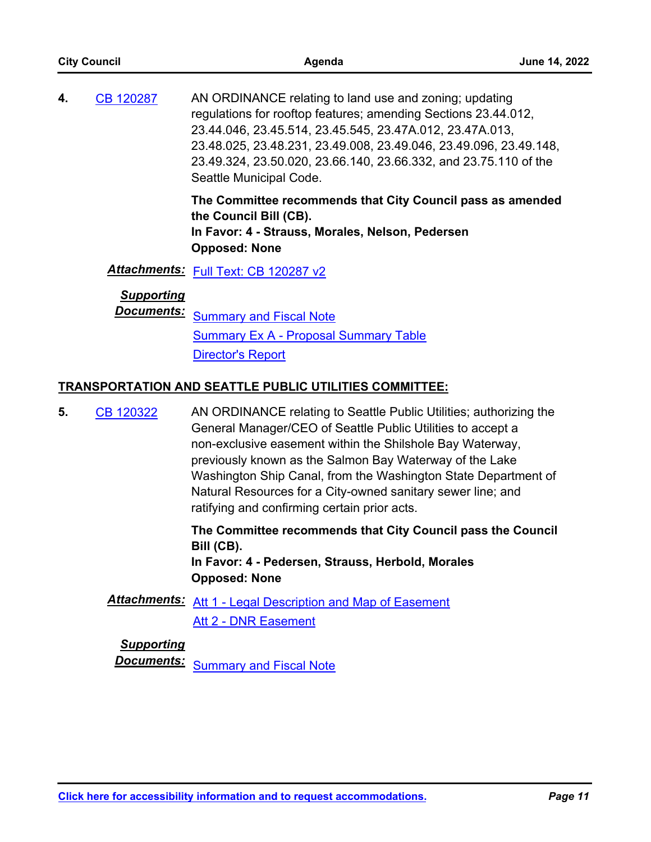|    | <b>City Council</b>                    | Agenda                                                                                                                                                                                                                                                                                                                                                   | June 14, 2022 |
|----|----------------------------------------|----------------------------------------------------------------------------------------------------------------------------------------------------------------------------------------------------------------------------------------------------------------------------------------------------------------------------------------------------------|---------------|
| 4. | <b>CB 120287</b>                       | AN ORDINANCE relating to land use and zoning; updating<br>regulations for rooftop features; amending Sections 23.44.012,<br>23.44.046, 23.45.514, 23.45.545, 23.47A.012, 23.47A.013,<br>23.48.025, 23.48.231, 23.49.008, 23.49.046, 23.49.096, 23.49.148,<br>23.49.324, 23.50.020, 23.66.140, 23.66.332, and 23.75.110 of the<br>Seattle Municipal Code. |               |
|    |                                        | The Committee recommends that City Council pass as amended<br>the Council Bill (CB).<br>In Favor: 4 - Strauss, Morales, Nelson, Pedersen<br><b>Opposed: None</b>                                                                                                                                                                                         |               |
|    |                                        | Attachments: Full Text: CB 120287 v2                                                                                                                                                                                                                                                                                                                     |               |
|    | <b>Supporting</b><br><b>Documents:</b> | <b>Summary and Fiscal Note</b><br><b>Summary Ex A - Proposal Summary Table</b><br><b>Director's Report</b>                                                                                                                                                                                                                                               |               |
|    |                                        | <b>TRANSPORTATION AND SEATTLE PUBLIC UTILITIES COMMITTEE:</b>                                                                                                                                                                                                                                                                                            |               |
| 5. | CB 120322                              | AN ORDINANCE relating to Seattle Public Utilities; authorizing the<br>General Manager/CEO of Seattle Public Utilities to accept a<br>non-exclusive easement within the Shilshole Bay Waterway                                                                                                                                                            |               |

non-exclusive easement within the Shilshole Bay Waterway, previously known as the Salmon Bay Waterway of the Lake Washington Ship Canal, from the Washington State Department of Natural Resources for a City-owned sanitary sewer line; and ratifying and confirming certain prior acts.

**The Committee recommends that City Council pass the Council Bill (CB).**

**In Favor: 4 - Pedersen, Strauss, Herbold, Morales Opposed: None**

## *Attachments:* [Att 1 - Legal Description and Map of Easement](http://seattle.legistar.com/gateway.aspx?M=F&ID=819434f9-a1f4-44b3-942f-56cf82a09ba1.pdf) [Att 2 - DNR Easement](http://seattle.legistar.com/gateway.aspx?M=F&ID=e1322a77-0fd3-4231-9cdf-a06ac75f29fd.pdf)

## *Supporting*

**Documents:** [Summary and Fiscal Note](http://seattle.legistar.com/gateway.aspx?M=F&ID=c5c3c105-2a2c-475b-99d4-eecde84d804c.docx)